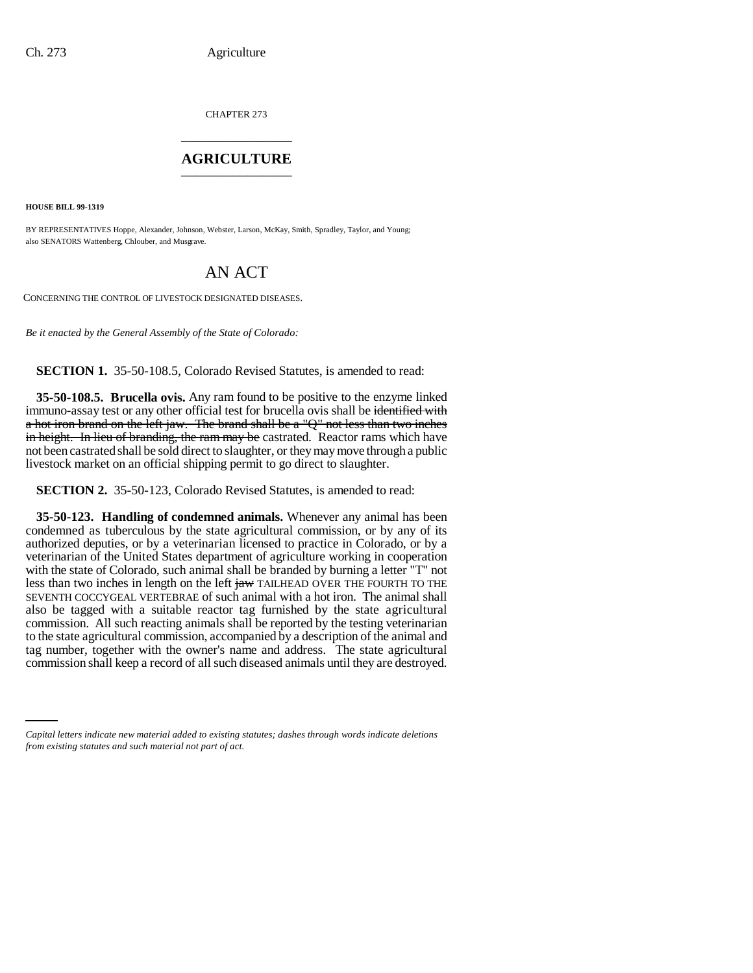CHAPTER 273 \_\_\_\_\_\_\_\_\_\_\_\_\_\_\_

### **AGRICULTURE** \_\_\_\_\_\_\_\_\_\_\_\_\_\_\_

**HOUSE BILL 99-1319** 

BY REPRESENTATIVES Hoppe, Alexander, Johnson, Webster, Larson, McKay, Smith, Spradley, Taylor, and Young; also SENATORS Wattenberg, Chlouber, and Musgrave.

# AN ACT

CONCERNING THE CONTROL OF LIVESTOCK DESIGNATED DISEASES.

*Be it enacted by the General Assembly of the State of Colorado:*

**SECTION 1.** 35-50-108.5, Colorado Revised Statutes, is amended to read:

**35-50-108.5. Brucella ovis.** Any ram found to be positive to the enzyme linked immuno-assay test or any other official test for brucella ovis shall be identified with a hot iron brand on the left jaw. The brand shall be a "Q" not less than two inches in height. In lieu of branding, the ram may be castrated. Reactor rams which have not been castrated shall be sold direct to slaughter, or they may move through a public livestock market on an official shipping permit to go direct to slaughter.

**SECTION 2.** 35-50-123, Colorado Revised Statutes, is amended to read:

commission shall keep a record of all such diseased animals until they are destroyed.**35-50-123. Handling of condemned animals.** Whenever any animal has been condemned as tuberculous by the state agricultural commission, or by any of its authorized deputies, or by a veterinarian licensed to practice in Colorado, or by a veterinarian of the United States department of agriculture working in cooperation with the state of Colorado, such animal shall be branded by burning a letter "T" not less than two inches in length on the left  $\frac{1}{2}$  TAILHEAD OVER THE FOURTH TO THE SEVENTH COCCYGEAL VERTEBRAE of such animal with a hot iron. The animal shall also be tagged with a suitable reactor tag furnished by the state agricultural commission. All such reacting animals shall be reported by the testing veterinarian to the state agricultural commission, accompanied by a description of the animal and tag number, together with the owner's name and address. The state agricultural

*Capital letters indicate new material added to existing statutes; dashes through words indicate deletions from existing statutes and such material not part of act.*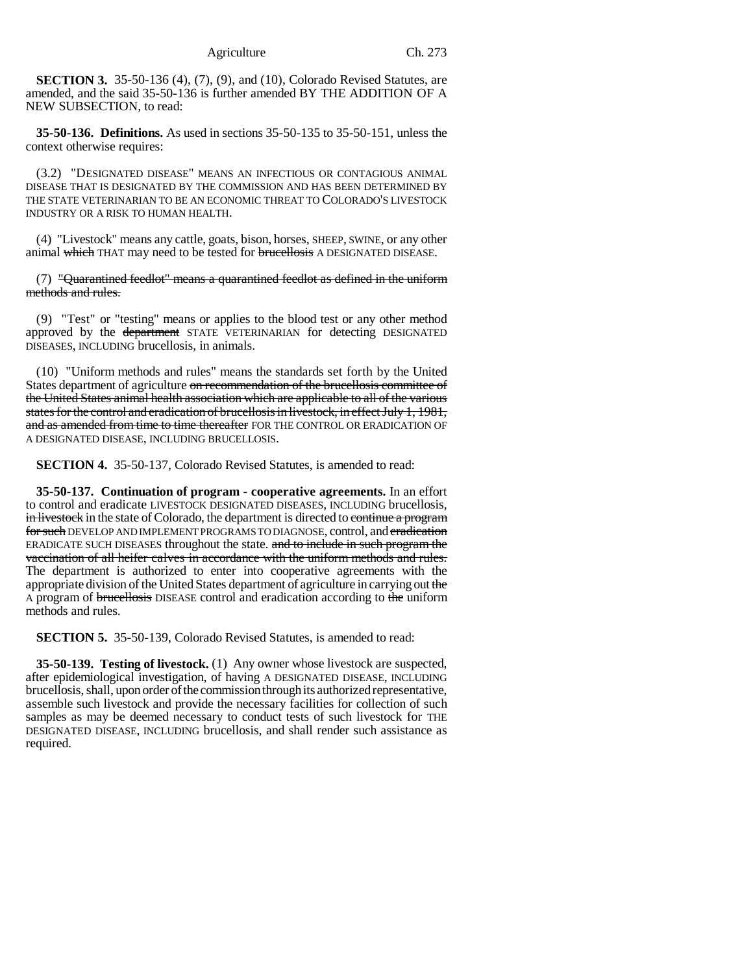**SECTION 3.** 35-50-136 (4), (7), (9), and (10), Colorado Revised Statutes, are amended, and the said 35-50-136 is further amended BY THE ADDITION OF A NEW SUBSECTION, to read:

**35-50-136. Definitions.** As used in sections 35-50-135 to 35-50-151, unless the context otherwise requires:

(3.2) "DESIGNATED DISEASE" MEANS AN INFECTIOUS OR CONTAGIOUS ANIMAL DISEASE THAT IS DESIGNATED BY THE COMMISSION AND HAS BEEN DETERMINED BY THE STATE VETERINARIAN TO BE AN ECONOMIC THREAT TO COLORADO'S LIVESTOCK INDUSTRY OR A RISK TO HUMAN HEALTH.

(4) "Livestock" means any cattle, goats, bison, horses, SHEEP, SWINE, or any other animal which THAT may need to be tested for brucellosis A DESIGNATED DISEASE.

 $(7)$  "Quarantined feedlot" means a quarantined feedlot as defined in the uniform methods and rules.

(9) "Test" or "testing" means or applies to the blood test or any other method approved by the department STATE VETERINARIAN for detecting DESIGNATED DISEASES, INCLUDING brucellosis, in animals.

(10) "Uniform methods and rules" means the standards set forth by the United States department of agriculture on recommendation of the brucellosis committee of the United States animal health association which are applicable to all of the various states for the control and eradication of brucellosis in livestock, in effect July 1, 1981, and as amended from time to time thereafter FOR THE CONTROL OR ERADICATION OF A DESIGNATED DISEASE, INCLUDING BRUCELLOSIS.

**SECTION 4.** 35-50-137, Colorado Revised Statutes, is amended to read:

**35-50-137. Continuation of program - cooperative agreements.** In an effort to control and eradicate LIVESTOCK DESIGNATED DISEASES, INCLUDING brucellosis, in livestock in the state of Colorado, the department is directed to continue a program for such DEVELOP AND IMPLEMENT PROGRAMS TO DIAGNOSE, control, and eradication ERADICATE SUCH DISEASES throughout the state. and to include in such program the vaccination of all heifer calves in accordance with the uniform methods and rules. The department is authorized to enter into cooperative agreements with the appropriate division of the United States department of agriculture in carrying out the A program of brucellosis DISEASE control and eradication according to the uniform methods and rules.

**SECTION 5.** 35-50-139, Colorado Revised Statutes, is amended to read:

**35-50-139. Testing of livestock.** (1) Any owner whose livestock are suspected, after epidemiological investigation, of having A DESIGNATED DISEASE, INCLUDING brucellosis, shall, upon order of the commission through its authorized representative, assemble such livestock and provide the necessary facilities for collection of such samples as may be deemed necessary to conduct tests of such livestock for THE DESIGNATED DISEASE, INCLUDING brucellosis, and shall render such assistance as required.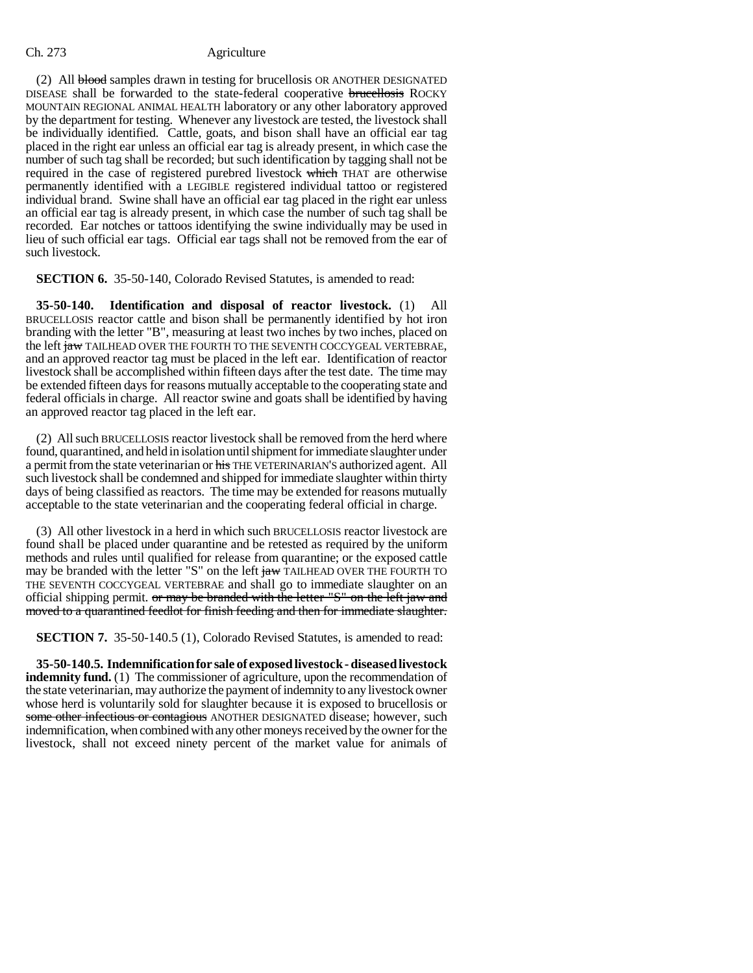### Ch. 273 Agriculture

(2) All blood samples drawn in testing for brucellosis OR ANOTHER DESIGNATED DISEASE shall be forwarded to the state-federal cooperative brucellosis ROCKY MOUNTAIN REGIONAL ANIMAL HEALTH laboratory or any other laboratory approved by the department for testing. Whenever any livestock are tested, the livestock shall be individually identified. Cattle, goats, and bison shall have an official ear tag placed in the right ear unless an official ear tag is already present, in which case the number of such tag shall be recorded; but such identification by tagging shall not be required in the case of registered purebred livestock which THAT are otherwise permanently identified with a LEGIBLE registered individual tattoo or registered individual brand. Swine shall have an official ear tag placed in the right ear unless an official ear tag is already present, in which case the number of such tag shall be recorded. Ear notches or tattoos identifying the swine individually may be used in lieu of such official ear tags. Official ear tags shall not be removed from the ear of such livestock.

**SECTION 6.** 35-50-140, Colorado Revised Statutes, is amended to read:

**35-50-140. Identification and disposal of reactor livestock.** (1) All BRUCELLOSIS reactor cattle and bison shall be permanently identified by hot iron branding with the letter "B", measuring at least two inches by two inches, placed on the left jaw TAILHEAD OVER THE FOURTH TO THE SEVENTH COCCYGEAL VERTEBRAE, and an approved reactor tag must be placed in the left ear. Identification of reactor livestock shall be accomplished within fifteen days after the test date. The time may be extended fifteen days for reasons mutually acceptable to the cooperating state and federal officials in charge. All reactor swine and goats shall be identified by having an approved reactor tag placed in the left ear.

(2) All such BRUCELLOSIS reactor livestock shall be removed from the herd where found, quarantined, and held in isolation until shipment for immediate slaughter under a permit from the state veterinarian or his THE VETERINARIAN'S authorized agent. All such livestock shall be condemned and shipped for immediate slaughter within thirty days of being classified as reactors. The time may be extended for reasons mutually acceptable to the state veterinarian and the cooperating federal official in charge.

(3) All other livestock in a herd in which such BRUCELLOSIS reactor livestock are found shall be placed under quarantine and be retested as required by the uniform methods and rules until qualified for release from quarantine; or the exposed cattle may be branded with the letter "S" on the left jaw TAILHEAD OVER THE FOURTH TO THE SEVENTH COCCYGEAL VERTEBRAE and shall go to immediate slaughter on an official shipping permit. or may be branded with the letter "S" on the left jaw and moved to a quarantined feedlot for finish feeding and then for immediate slaughter.

**SECTION 7.** 35-50-140.5 (1), Colorado Revised Statutes, is amended to read:

**35-50-140.5. Indemnification for sale of exposed livestock - diseased livestock indemnity fund.** (1) The commissioner of agriculture, upon the recommendation of the state veterinarian, may authorize the payment of indemnity to any livestock owner whose herd is voluntarily sold for slaughter because it is exposed to brucellosis or some other infectious or contagious ANOTHER DESIGNATED disease; however, such indemnification, when combined with any other moneys received by the owner for the livestock, shall not exceed ninety percent of the market value for animals of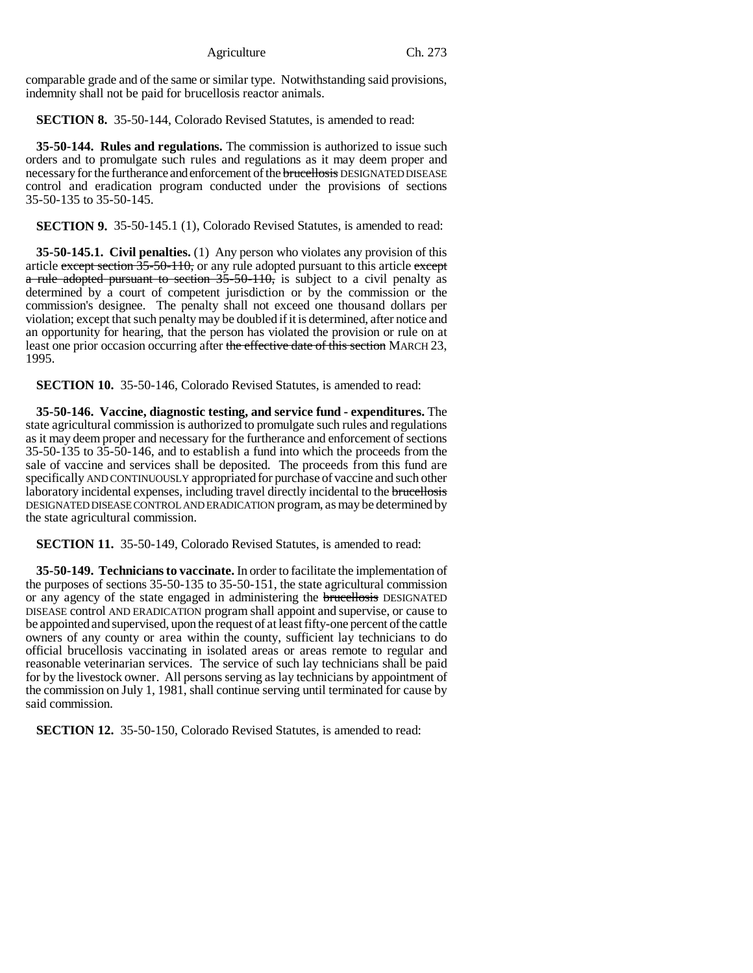Agriculture Ch. 273

comparable grade and of the same or similar type. Notwithstanding said provisions, indemnity shall not be paid for brucellosis reactor animals.

**SECTION 8.** 35-50-144, Colorado Revised Statutes, is amended to read:

**35-50-144. Rules and regulations.** The commission is authorized to issue such orders and to promulgate such rules and regulations as it may deem proper and necessary for the furtherance and enforcement of the brucellosis DESIGNATED DISEASE control and eradication program conducted under the provisions of sections 35-50-135 to 35-50-145.

**SECTION 9.** 35-50-145.1 (1), Colorado Revised Statutes, is amended to read:

**35-50-145.1. Civil penalties.** (1) Any person who violates any provision of this article except section  $35-50-110$ , or any rule adopted pursuant to this article except a rule adopted pursuant to section 35-50-110, is subject to a civil penalty as determined by a court of competent jurisdiction or by the commission or the commission's designee. The penalty shall not exceed one thousand dollars per violation; except that such penalty may be doubled if it is determined, after notice and an opportunity for hearing, that the person has violated the provision or rule on at least one prior occasion occurring after the effective date of this section MARCH 23, 1995.

**SECTION 10.** 35-50-146, Colorado Revised Statutes, is amended to read:

**35-50-146. Vaccine, diagnostic testing, and service fund - expenditures.** The state agricultural commission is authorized to promulgate such rules and regulations as it may deem proper and necessary for the furtherance and enforcement of sections 35-50-135 to 35-50-146, and to establish a fund into which the proceeds from the sale of vaccine and services shall be deposited. The proceeds from this fund are specifically AND CONTINUOUSLY appropriated for purchase of vaccine and such other laboratory incidental expenses, including travel directly incidental to the brucellosis DESIGNATED DISEASE CONTROL AND ERADICATION program, as may be determined by the state agricultural commission.

**SECTION 11.** 35-50-149, Colorado Revised Statutes, is amended to read:

**35-50-149. Technicians to vaccinate.** In order to facilitate the implementation of the purposes of sections 35-50-135 to 35-50-151, the state agricultural commission or any agency of the state engaged in administering the **brucellosis** DESIGNATED DISEASE control AND ERADICATION program shall appoint and supervise, or cause to be appointed and supervised, upon the request of at least fifty-one percent of the cattle owners of any county or area within the county, sufficient lay technicians to do official brucellosis vaccinating in isolated areas or areas remote to regular and reasonable veterinarian services. The service of such lay technicians shall be paid for by the livestock owner. All persons serving as lay technicians by appointment of the commission on July 1, 1981, shall continue serving until terminated for cause by said commission.

**SECTION 12.** 35-50-150, Colorado Revised Statutes, is amended to read: